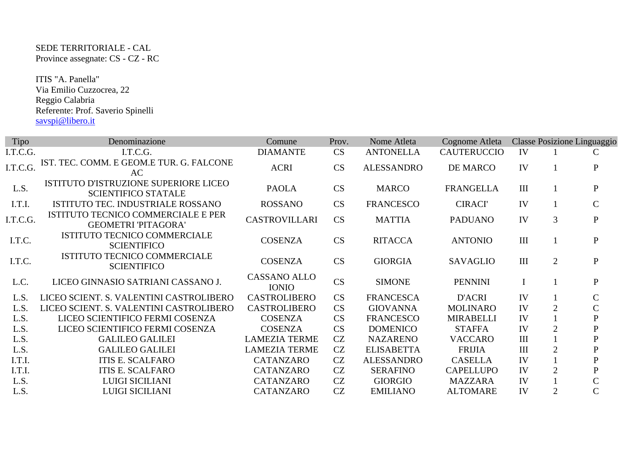SEDE TERRITORIALE - CAL Province assegnate: CS - CZ - RC

 ITIS "A. Panella" Via Emilio Cuzzocrea, 22 Reggio Calabria Referente: Prof. Saverio Spinelli savspi@libero.it

| Tipo     | Denominazione                                                       | Comune                              | Prov.     | Nome Atleta       | Cognome Atleta     |             |                | Classe Posizione Linguaggio |
|----------|---------------------------------------------------------------------|-------------------------------------|-----------|-------------------|--------------------|-------------|----------------|-----------------------------|
| I.T.C.G. | I.T.C.G.                                                            | <b>DIAMANTE</b>                     | <b>CS</b> | <b>ANTONELLA</b>  | <b>CAUTERUCCIO</b> | IV          |                | C                           |
| I.T.C.G. | IST. TEC. COMM. E GEOM.E TUR. G. FALCONE<br>AC                      | <b>ACRI</b>                         | <b>CS</b> | <b>ALESSANDRO</b> | DE MARCO           | IV          |                | ${\bf P}$                   |
| L.S.     | ISTITUTO D'ISTRUZIONE SUPERIORE LICEO<br><b>SCIENTIFICO STATALE</b> | <b>PAOLA</b>                        | <b>CS</b> | <b>MARCO</b>      | <b>FRANGELLA</b>   | III         |                | $\mathbf{P}$                |
| I.T.I.   | ISTITUTO TEC. INDUSTRIALE ROSSANO                                   | <b>ROSSANO</b>                      | CS        | <b>FRANCESCO</b>  | <b>CIRACI'</b>     | IV          |                | $\mathbf C$                 |
| I.T.C.G. | ISTITUTO TECNICO COMMERCIALE E PER<br><b>GEOMETRI 'PITAGORA'</b>    | <b>CASTROVILLARI</b>                | <b>CS</b> | <b>MATTIA</b>     | <b>PADUANO</b>     | IV          | 3              | ${\bf P}$                   |
| I.T.C.   | ISTITUTO TECNICO COMMERCIALE<br><b>SCIENTIFICO</b>                  | <b>COSENZA</b>                      | <b>CS</b> | <b>RITACCA</b>    | <b>ANTONIO</b>     | III         |                | ${\bf P}$                   |
| I.T.C.   | ISTITUTO TECNICO COMMERCIALE<br><b>SCIENTIFICO</b>                  | <b>COSENZA</b>                      | CS        | <b>GIORGIA</b>    | <b>SAVAGLIO</b>    | III         | $\overline{2}$ | $\mathbf P$                 |
| L.C.     | LICEO GINNASIO SATRIANI CASSANO J.                                  | <b>CASSANO ALLO</b><br><b>IONIO</b> | CS        | <b>SIMONE</b>     | <b>PENNINI</b>     | $\mathbf I$ |                | ${\bf P}$                   |
| L.S.     | LICEO SCIENT. S. VALENTINI CASTROLIBERO                             | <b>CASTROLIBERO</b>                 | <b>CS</b> | <b>FRANCESCA</b>  | D'ACRI             | IV          |                | $\mathbf C$                 |
| L.S.     | LICEO SCIENT. S. VALENTINI CASTROLIBERO                             | <b>CASTROLIBERO</b>                 | <b>CS</b> | <b>GIOVANNA</b>   | <b>MOLINARO</b>    | IV          | $\overline{2}$ | $\mathcal{C}$               |
| L.S.     | LICEO SCIENTIFICO FERMI COSENZA                                     | <b>COSENZA</b>                      | <b>CS</b> | <b>FRANCESCO</b>  | <b>MIRABELLI</b>   | IV          |                | ${\bf P}$                   |
| L.S.     | LICEO SCIENTIFICO FERMI COSENZA                                     | <b>COSENZA</b>                      | <b>CS</b> | <b>DOMENICO</b>   | <b>STAFFA</b>      | IV          | $\overline{2}$ | ${\bf P}$                   |
| L.S.     | <b>GALILEO GALILEI</b>                                              | <b>LAMEZIA TERME</b>                | CZ        | <b>NAZARENO</b>   | <b>VACCARO</b>     | III         |                | $\mathbf P$                 |
| L.S.     | <b>GALILEO GALILEI</b>                                              | <b>LAMEZIA TERME</b>                | CZ        | <b>ELISABETTA</b> | <b>FRIJIA</b>      | III         | 2              | ${\bf P}$                   |
| I.T.I.   | <b>ITIS E. SCALFARO</b>                                             | <b>CATANZARO</b>                    | CZ        | <b>ALESSANDRO</b> | <b>CASELLA</b>     | IV          |                | $\mathbf P$                 |
| I.T.I.   | <b>ITIS E. SCALFARO</b>                                             | CATANZARO                           | CZ        | <b>SERAFINO</b>   | <b>CAPELLUPO</b>   | IV          | $\overline{2}$ | $\mathbf P$                 |
| L.S.     | <b>LUIGI SICILIANI</b>                                              | CATANZARO                           | CZ        | <b>GIORGIO</b>    | <b>MAZZARA</b>     | IV          |                | $\overline{\rm C}$          |
| L.S.     | <b>LUIGI SICILIANI</b>                                              | CATANZARO                           | CZ        | <b>EMILIANO</b>   | <b>ALTOMARE</b>    | IV          | $\overline{2}$ | $\mathsf{C}$                |